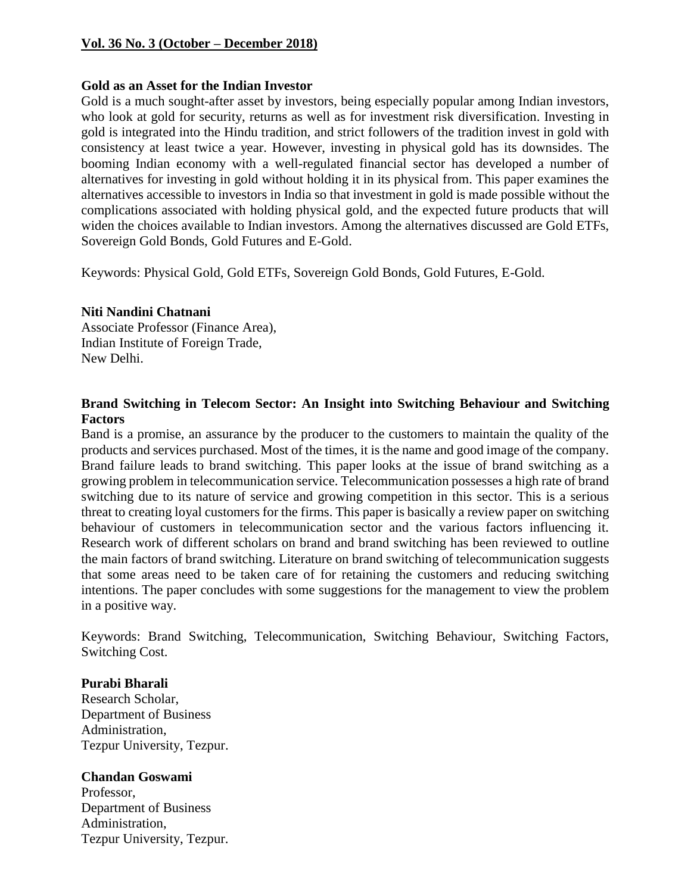### **Vol. 36 No. 3 (October – December 2018)**

#### **Gold as an Asset for the Indian Investor**

Gold is a much sought-after asset by investors, being especially popular among Indian investors, who look at gold for security, returns as well as for investment risk diversification. Investing in gold is integrated into the Hindu tradition, and strict followers of the tradition invest in gold with consistency at least twice a year. However, investing in physical gold has its downsides. The booming Indian economy with a well-regulated financial sector has developed a number of alternatives for investing in gold without holding it in its physical from. This paper examines the alternatives accessible to investors in India so that investment in gold is made possible without the complications associated with holding physical gold, and the expected future products that will widen the choices available to Indian investors. Among the alternatives discussed are Gold ETFs, Sovereign Gold Bonds, Gold Futures and E-Gold.

Keywords: Physical Gold, Gold ETFs, Sovereign Gold Bonds, Gold Futures, E-Gold.

### **Niti Nandini Chatnani**

Associate Professor (Finance Area), Indian Institute of Foreign Trade, New Delhi.

### **Brand Switching in Telecom Sector: An Insight into Switching Behaviour and Switching Factors**

Band is a promise, an assurance by the producer to the customers to maintain the quality of the products and services purchased. Most of the times, it is the name and good image of the company. Brand failure leads to brand switching. This paper looks at the issue of brand switching as a growing problem in telecommunication service. Telecommunication possesses a high rate of brand switching due to its nature of service and growing competition in this sector. This is a serious threat to creating loyal customers for the firms. This paper is basically a review paper on switching behaviour of customers in telecommunication sector and the various factors influencing it. Research work of different scholars on brand and brand switching has been reviewed to outline the main factors of brand switching. Literature on brand switching of telecommunication suggests that some areas need to be taken care of for retaining the customers and reducing switching intentions. The paper concludes with some suggestions for the management to view the problem in a positive way.

Keywords: Brand Switching, Telecommunication, Switching Behaviour, Switching Factors, Switching Cost.

### **Purabi Bharali**

Research Scholar, Department of Business Administration, Tezpur University, Tezpur.

### **Chandan Goswami**

Professor, Department of Business Administration, Tezpur University, Tezpur.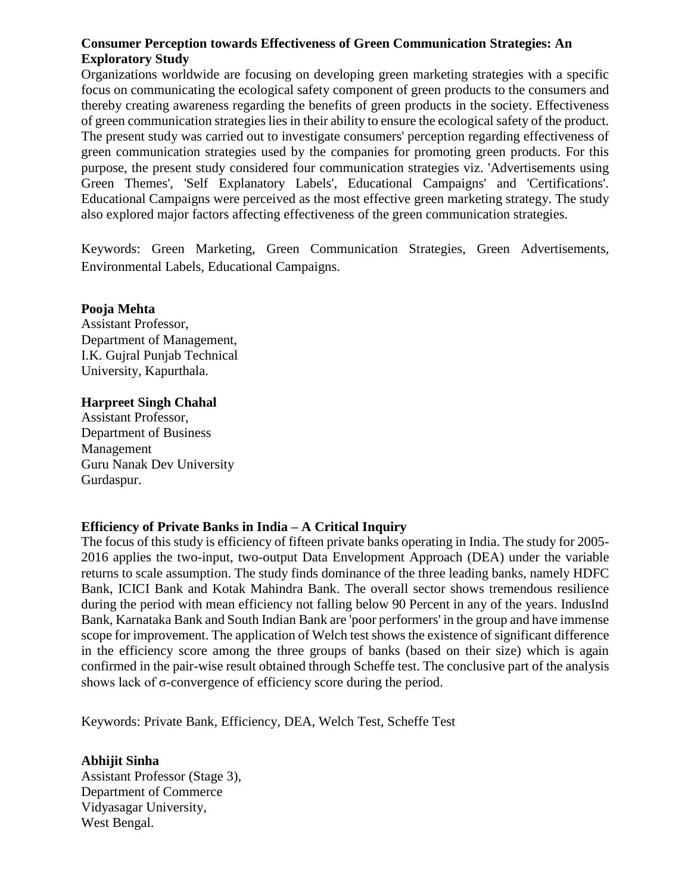# **Consumer Perception towards Effectiveness of Green Communication Strategies: An Exploratory Study**

Organizations worldwide are focusing on developing green marketing strategies with a specific focus on communicating the ecological safety component of green products to the consumers and thereby creating awareness regarding the benefits of green products in the society. Effectiveness of green communication strategies lies in their ability to ensure the ecological safety of the product. The present study was carried out to investigate consumers' perception regarding effectiveness of green communication strategies used by the companies for promoting green products. For this purpose, the present study considered four communication strategies viz. 'Advertisements using Green Themes', 'Self Explanatory Labels', Educational Campaigns' and 'Certifications'. Educational Campaigns were perceived as the most effective green marketing strategy. The study also explored major factors affecting effectiveness of the green communication strategies.

Keywords: Green Marketing, Green Communication Strategies, Green Advertisements, Environmental Labels, Educational Campaigns.

### **Pooja Mehta**

Assistant Professor, Department of Management, I.K. Gujral Punjab Technical University, Kapurthala.

### **Harpreet Singh Chahal**

Assistant Professor, Department of Business Management Guru Nanak Dev University Gurdaspur.

# **Efficiency of Private Banks in India – A Critical Inquiry**

The focus of this study is efficiency of fifteen private banks operating in India. The study for 2005- 2016 applies the two-input, two-output Data Envelopment Approach (DEA) under the variable returns to scale assumption. The study finds dominance of the three leading banks, namely HDFC Bank, ICICI Bank and Kotak Mahindra Bank. The overall sector shows tremendous resilience during the period with mean efficiency not falling below 90 Percent in any of the years. IndusInd Bank, Karnataka Bank and South Indian Bank are 'poor performers' in the group and have immense scope for improvement. The application of Welch test shows the existence of significant difference in the efficiency score among the three groups of banks (based on their size) which is again confirmed in the pair-wise result obtained through Scheffe test. The conclusive part of the analysis shows lack of σ-convergence of efficiency score during the period.

Keywords: Private Bank, Efficiency, DEA, Welch Test, Scheffe Test

**Abhijit Sinha**  Assistant Professor (Stage 3), Department of Commerce Vidyasagar University, West Bengal.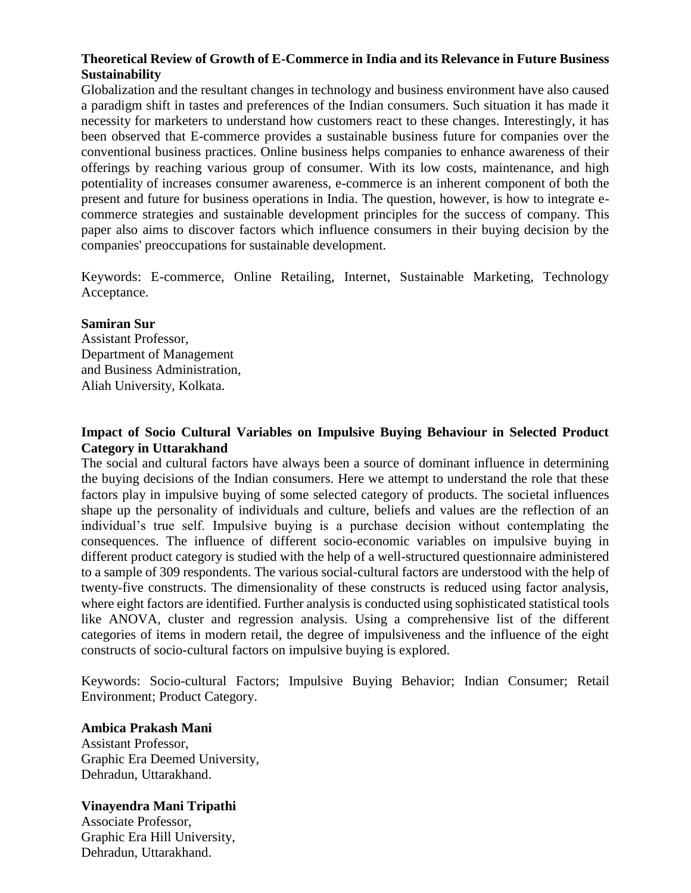# **Theoretical Review of Growth of E-Commerce in India and its Relevance in Future Business Sustainability**

Globalization and the resultant changes in technology and business environment have also caused a paradigm shift in tastes and preferences of the Indian consumers. Such situation it has made it necessity for marketers to understand how customers react to these changes. Interestingly, it has been observed that E-commerce provides a sustainable business future for companies over the conventional business practices. Online business helps companies to enhance awareness of their offerings by reaching various group of consumer. With its low costs, maintenance, and high potentiality of increases consumer awareness, e-commerce is an inherent component of both the present and future for business operations in India. The question, however, is how to integrate ecommerce strategies and sustainable development principles for the success of company. This paper also aims to discover factors which influence consumers in their buying decision by the companies' preoccupations for sustainable development.

Keywords: E-commerce, Online Retailing, Internet, Sustainable Marketing, Technology Acceptance.

#### **Samiran Sur**

Assistant Professor, Department of Management and Business Administration, Aliah University, Kolkata.

### **Impact of Socio Cultural Variables on Impulsive Buying Behaviour in Selected Product Category in Uttarakhand**

The social and cultural factors have always been a source of dominant influence in determining the buying decisions of the Indian consumers. Here we attempt to understand the role that these factors play in impulsive buying of some selected category of products. The societal influences shape up the personality of individuals and culture, beliefs and values are the reflection of an individual's true self. Impulsive buying is a purchase decision without contemplating the consequences. The influence of different socio-economic variables on impulsive buying in different product category is studied with the help of a well-structured questionnaire administered to a sample of 309 respondents. The various social-cultural factors are understood with the help of twenty-five constructs. The dimensionality of these constructs is reduced using factor analysis, where eight factors are identified. Further analysis is conducted using sophisticated statistical tools like ANOVA, cluster and regression analysis. Using a comprehensive list of the different categories of items in modern retail, the degree of impulsiveness and the influence of the eight constructs of socio-cultural factors on impulsive buying is explored.

Keywords: Socio-cultural Factors; Impulsive Buying Behavior; Indian Consumer; Retail Environment; Product Category.

### **Ambica Prakash Mani**

Assistant Professor, Graphic Era Deemed University, Dehradun, Uttarakhand.

### **Vinayendra Mani Tripathi**

Associate Professor, Graphic Era Hill University, Dehradun, Uttarakhand.